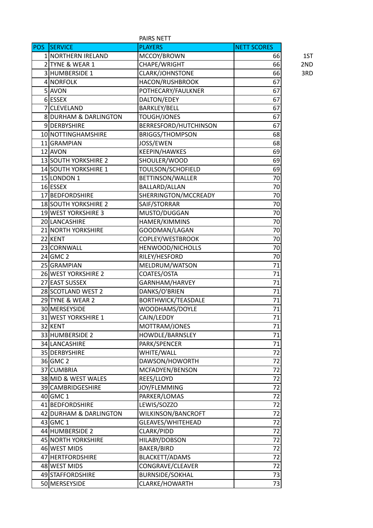|              |                                  | PAIRS NETT                |                    |  |  |
|--------------|----------------------------------|---------------------------|--------------------|--|--|
| POS <b>B</b> | <b>SERVICE</b>                   | <b>PLAYERS</b>            | <b>NETT SCORES</b> |  |  |
|              | 1 NORTHERN IRELAND               | MCCOY/BROWN               | 1ST<br>66          |  |  |
|              | 2 TYNE & WEAR 1                  | CHAPE/WRIGHT              | 66<br>2ND          |  |  |
|              | 3 HUMBERSIDE 1                   | CLARK/JOHNSTONE           | 66<br>3RD          |  |  |
|              | 4 NORFOLK                        | HACON/RUSHBROOK           | 67                 |  |  |
|              | 5 AVON                           | POTHECARY/FAULKNER        | 67                 |  |  |
|              | 6 ESSEX                          | DALTON/EDEY               | 67                 |  |  |
|              | 7 CLEVELAND                      | <b>BARKLEY/BELL</b>       | 67                 |  |  |
|              | <b>8 DURHAM &amp; DARLINGTON</b> | <b>TOUGH/JONES</b>        | 67                 |  |  |
|              | 9DERBYSHIRE                      | BERRESFORD/HUTCHINSON     | 67                 |  |  |
|              | 10 NOTTINGHAMSHIRE               | <b>BRIGGS/THOMPSON</b>    | 68                 |  |  |
|              | 11 GRAMPIAN                      | JOSS/EWEN                 | 68                 |  |  |
|              | 12 AVON                          | KEEPIN/HAWKES             | 69                 |  |  |
|              | 13 SOUTH YORKSHIRE 2             | SHOULER/WOOD              | 69                 |  |  |
|              | 14 SOUTH YORKSHIRE 1             | TOULSON/SCHOFIELD         | 69                 |  |  |
|              | 15 LONDON 1                      | BETTINSON/WALLER          | 70                 |  |  |
|              | 16 ESSEX                         | BALLARD/ALLAN             | 70                 |  |  |
|              | 17 BEDFORDSHIRE                  | SHERRINGTON/MCCREADY      | 70                 |  |  |
|              | 18 SOUTH YORKSHIRE 2             | SAIF/STORRAR              | 70                 |  |  |
|              | 19 WEST YORKSHIRE 3              | MUSTO/DUGGAN              | 70                 |  |  |
|              | 20 LANCASHIRE                    | HAMER/KIMMINS             | 70                 |  |  |
|              | 21 NORTH YORKSHIRE               | GOODMAN/LAGAN             | 70                 |  |  |
|              | 22 KENT                          | COPLEY/WESTBROOK          | 70                 |  |  |
|              | 23 CORNWALL                      | HENWOOD/NICHOLLS          | 70                 |  |  |
|              | $24$ GMC 2                       | RILEY/HESFORD             | 70                 |  |  |
|              | 25 GRAMPIAN                      | MELDRUM/WATSON            | 71                 |  |  |
|              | 26 WEST YORKSHIRE 2              | COATES/OSTA               | 71                 |  |  |
|              | 27 EAST SUSSEX                   | GARNHAM/HARVEY            | 71                 |  |  |
|              | 28 SCOTLAND WEST 2               | DANKS/O'BRIEN             | 71                 |  |  |
|              | 29 TYNE & WEAR 2                 | <b>BORTHWICK/TEASDALE</b> | 71                 |  |  |
|              | 30 MERSEYSIDE                    | WOODHAMS/DOYLE            | 71                 |  |  |
|              | 31 WEST YORKSHIRE 1              | CAIN/LEDDY                | 71                 |  |  |
|              | 32 KENT                          | MOTTRAM/JONES             | 71                 |  |  |
|              | 33 HUMBERSIDE 2                  | HOWDLE/BARNSLEY           | 71                 |  |  |
|              | 34 LANCASHIRE                    | PARK/SPENCER              | 71                 |  |  |
|              |                                  |                           |                    |  |  |
|              | 35 DERBYSHIRE                    | WHITE/WALL                | 72                 |  |  |
|              | 36 GMC 2                         | DAWSON/HOWORTH            | 72                 |  |  |
|              | 37 CUMBRIA                       | MCFADYEN/BENSON           | 72                 |  |  |
|              | 38 MID & WEST WALES              | REES/LLOYD                | 72                 |  |  |
|              | 39 CAMBRIDGESHIRE                | JOY/FLEMMING              | 72                 |  |  |
|              | $40$ GMC 1                       | PARKER/LOMAS              | 72                 |  |  |
|              | 41 BEDFORDSHIRE                  | LEWIS/SOZZO               | 72                 |  |  |
|              | 42 DURHAM & DARLINGTON           | WILKINSON/BANCROFT        | 72                 |  |  |
|              | $43$ GMC 1                       | GLEAVES/WHITEHEAD         | 72                 |  |  |
|              | 44 HUMBERSIDE 2                  | CLARK/PIDD                | 72                 |  |  |
|              | 45 NORTH YORKSHIRE               | HILABY/DOBSON             | 72                 |  |  |
|              | 46 WEST MIDS                     | BAKER/BIRD                | 72                 |  |  |
|              | 47 HERTFORDSHIRE                 | BLACKETT/ADAMS            | 72                 |  |  |
|              | 48 WEST MIDS                     | CONGRAVE/CLEAVER          | 72                 |  |  |
|              | 49 STAFFORDSHIRE                 | <b>BURNSIDE/SOKHAL</b>    | 73                 |  |  |
|              | 50 MERSEYSIDE                    | CLARKE/HOWARTH            | 73                 |  |  |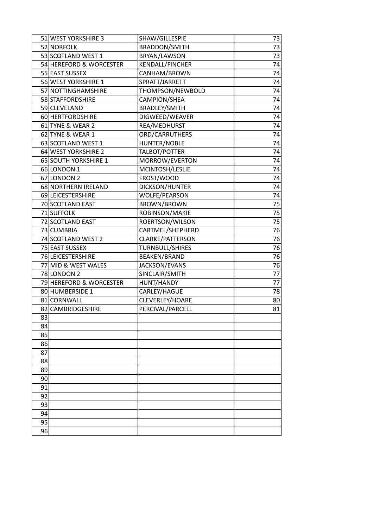|    | 51 WEST YORKSHIRE 3     | SHAW/GILLESPIE         | 73              |
|----|-------------------------|------------------------|-----------------|
|    | 52 NORFOLK              | <b>BRADDON/SMITH</b>   | 73              |
|    | 53 SCOTLAND WEST 1      | BRYAN/LAWSON           | 73              |
|    | 54 HEREFORD & WORCESTER | <b>KENDALL/FINCHER</b> | 74              |
|    | 55 EAST SUSSEX          | CANHAM/BROWN           | 74              |
|    | 56 WEST YORKSHIRE 1     | SPRATT/JARRETT         | 74              |
|    | 57 NOTTINGHAMSHIRE      | THOMPSON/NEWBOLD       | 74              |
|    | 58 STAFFORDSHIRE        | CAMPION/SHEA           | 74              |
|    | 59 CLEVELAND            | <b>BRADLEY/SMITH</b>   | 74              |
|    | 60 HERTFORDSHIRE        | DIGWEED/WEAVER         | 74              |
|    | 61 TYNE & WEAR 2        | REA/MEDHURST           | 74              |
|    | 62 TYNE & WEAR 1        | ORD/CARRUTHERS         | 74              |
|    | 63 SCOTLAND WEST 1      | HUNTER/NOBLE           | 74              |
|    | 64 WEST YORKSHIRE 2     | TALBOT/POTTER          | 74              |
|    | 65 SOUTH YORKSHIRE 1    | MORROW/EVERTON         | 74              |
|    | 66LONDON 1              | MCINTOSH/LESLIE        | 74              |
|    | 67 LONDON 2             | FROST/WOOD             | 74              |
|    | 68 NORTHERN IRELAND     | DICKSON/HUNTER         | 74              |
|    | 69 LEICESTERSHIRE       | WOLFE/PEARSON          | 74              |
|    | 70 SCOTLAND EAST        | <b>BROWN/BROWN</b>     | 75              |
|    | 71 SUFFOLK              | ROBINSON/MAKIE         | 75              |
|    | 72 SCOTLAND EAST        | ROERTSON/WILSON        | $\overline{75}$ |
|    | 73 CUMBRIA              | CARTMEL/SHEPHERD       | 76              |
|    | 74 SCOTLAND WEST 2      | CLARKE/PATTERSON       | 76              |
|    | 75 EAST SUSSEX          | <b>TURNBULL/SHIRES</b> | 76              |
|    | 76 LEICESTERSHIRE       | <b>BEAKEN/BRAND</b>    | 76              |
|    | 77 MID & WEST WALES     | JACKSON/EVANS          | 76              |
|    | 78 LONDON 2             | SINCLAIR/SMITH         | 77              |
|    | 79 HEREFORD & WORCESTER | HUNT/HANDY             | 77              |
|    | 80 HUMBERSIDE 1         | CARLEY/HAGUE           | 78              |
|    | 81 CORNWALL             | CLEVERLEY/HOARE        | 80              |
|    | 82 CAMBRIDGESHIRE       | PERCIVAL/PARCELL       | 81              |
| 83 |                         |                        |                 |
| 84 |                         |                        |                 |
| 85 |                         |                        |                 |
| 86 |                         |                        |                 |
| 87 |                         |                        |                 |
| 88 |                         |                        |                 |
| 89 |                         |                        |                 |
| 90 |                         |                        |                 |
| 91 |                         |                        |                 |
| 92 |                         |                        |                 |
| 93 |                         |                        |                 |
| 94 |                         |                        |                 |
| 95 |                         |                        |                 |
| 96 |                         |                        |                 |